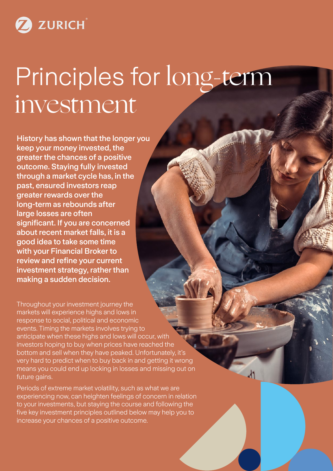ZURICH

# Principles for long-term investment

History has shown that the longer you keep your money invested, the greater the chances of a positive outcome. Staying fully invested through a market cycle has, in the past, ensured investors reap greater rewards over the long-term as rebounds after large losses are often significant. If you are concerned about recent market falls, it is a good idea to take some time with your Financial Broker to review and refine your current investment strategy, rather than making a sudden decision.

Throughout your investment journey the markets will experience highs and lows in response to social, political and economic events. Timing the markets involves trying to anticipate when these highs and lows will occur, with investors hoping to buy when prices have reached the bottom and sell when they have peaked. Unfortunately, it's very hard to predict when to buy back in and getting it wrong means you could end up locking in losses and missing out on future gains.

Periods of extreme market volatility, such as what we are experiencing now, can heighten feelings of concern in relation to your investments, but staying the course and following the five key investment principles outlined below may help you to increase your chances of a positive outcome.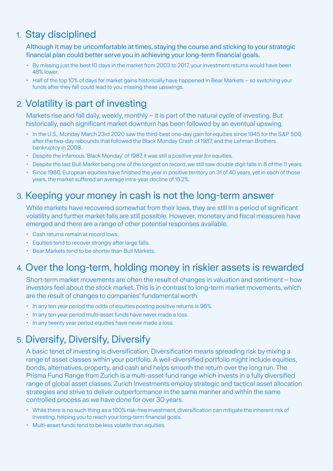## 1. Stay disciplined

Although it may be uncomfortable at times, staying the course and sticking to your strategic financial plan could better serve you in achieving your long-term financial goals.

- By missing just the best 10 days in the market from 2003 to 2017, your investment returns would have been 48% lower.
- Half of the top 10% of days for market gains historically have happened in Bear Markets so switching your funds after they fall could lead to you missing these upswings.

## 2. Volatility is part of investing

Markets rise and fall daily, weekly, monthly – it is part of the natural cycle of investing. But historically, each significant market downturn has been followed by an eventual upswing.

- In the U.S., Monday March 23rd 2020 saw the third-best one-day gain for equities since 1945 for the S&P 500, after the two-day rebounds that followed the Black Monday Crash of 1987, and the Lehman Brothers bankruptcy in 2008.
- Despite the infamous 'Black Monday' of 1987, it was still a positive year for equities.
- Despite the last Bull Market being one of the longest on record, we still saw double digit falls in 8 of the 11 years.
- Since 1980, European equities have finished the year in positive territory on 31 of 40 years, yet in each of those years, the market suffered an average intra-year decline of 15.2%.

#### 3. Keeping your money in cash is not the long-term answer

While markets have recovered somewhat from their lows, they are still in a period of significant volatility and further market falls are still possible. However, monetary and fiscal measures have emerged and there are a range of other potential responses available.

- Cash returns remain at record lows.
- Equities tend to recover strongly after large falls.
- Bear Markets tend to be shorter than Bull Markets.

### 4. Over the long-term, holding money in riskier assets is rewarded

Short-term market movements are often the result of changes in valuation and sentiment – how investors feel about the stock market. This is in contrast to long-term market movements, which are the result of changes to companies' fundamental worth.

- In any ten year period the odds of equities posting positive returns is 96%.
- In any ten year period multi-asset funds have never made a loss.
- In any twenty year period equities have never made a loss.

## 5. Diversify, Diversify, Diversify

A basic tenet of investing is diversification. Diversification means spreading risk by mixing a range of asset classes within your portfolio. A well-diversified portfolio might include equities, bonds, alternatives, property, and cash and helps smooth the return over the long run. The Prisma Fund Range from Zurich is a multi-asset fund range which invests in a fully diversified range of global asset classes. Zurich Investments employ strategic and tactical asset allocation strategies and strive to deliver outperformance in the same manner and within the same controlled process as we have done for over 30 years.

- While there is no such thing as a 100% risk-free investment, diversification can mitigate the inherent risk of investing, helping you to reach your long-term financial goals.
- Multi-asset funds tend to be less volatile than equities.